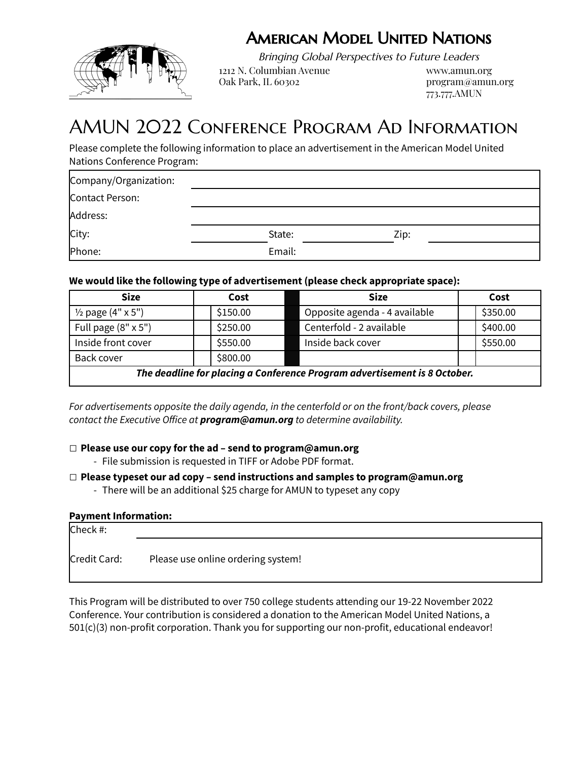## American Model United Nations



Bringing Global Perspectives to Future Leaders

1212 N. Columbian Avenue www.amun.org Oak Park, IL 60302 program@amun.org

773.777.AMUN

# AMUN 2022 Conference Program Ad Information

Please complete the following information to place an advertisement in the American Model United Nations Conference Program:

| Company/Organization: |        |      |  |
|-----------------------|--------|------|--|
| Contact Person:       |        |      |  |
| Address:              |        |      |  |
| City:                 | State: | Zip: |  |
| Phone:                | Email: |      |  |

### **We would like the following type of advertisement (please check appropriate space):**

| <b>Size</b>                                                               | Cost     | <b>Size</b>                   | Cost     |
|---------------------------------------------------------------------------|----------|-------------------------------|----------|
| $\frac{1}{2}$ page (4" x 5")                                              | \$150.00 | Opposite agenda - 4 available | \$350.00 |
| Full page $(8" \times 5")$                                                | \$250.00 | Centerfold - 2 available      | \$400.00 |
| Inside front cover                                                        | \$550.00 | Inside back cover             | \$550.00 |
| Back cover                                                                | \$800.00 |                               |          |
| The deadline for placing a Conference Program advertisement is 8 October. |          |                               |          |

*For advertisements opposite the daily agenda, in the centerfold or on the front/back covers, please contact the Executive Office at program@amun.org to determine availability.*

### □ **Please use our copy for the ad – send to program@amun.org**

- File submission is requested in TIFF or Adobe PDF format.

### □ **Please typeset our ad copy – send instructions and samples to program@amun.org**

- There will be an additional \$25 charge for AMUN to typeset any copy

### **Payment Information:**

| Check #:     |                                    |  |
|--------------|------------------------------------|--|
| Credit Card: | Please use online ordering system! |  |

This Program will be distributed to over 750 college students attending our 19-22 November 2022 Conference. Your contribution is considered a donation to the American Model United Nations, a 501(c)(3) non-profit corporation. Thank you for supporting our non-profit, educational endeavor!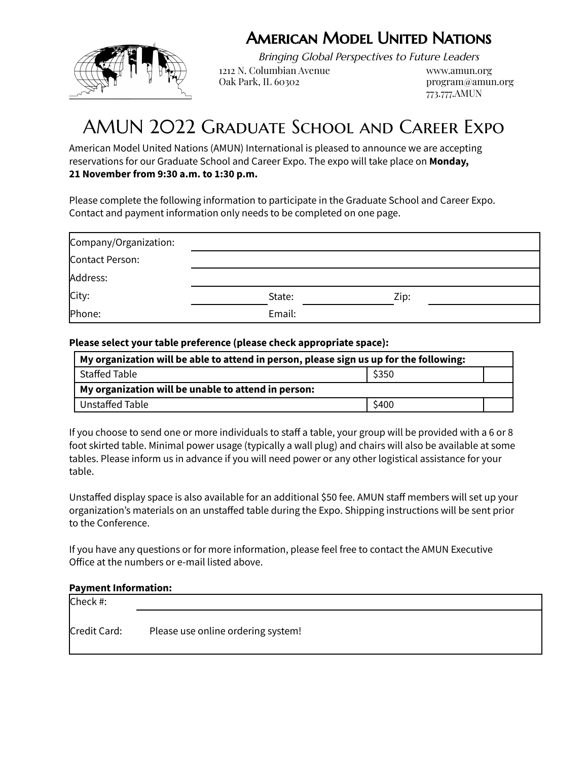## American Model United Nations



Bringing Global Perspectives to Future Leaders

1212 N. Columbian Avenue www.amun.org Oak Park, IL 60302 program@amun.org

773.777.AMUN

# AMUN 2022 Graduate School and Career Expo

American Model United Nations (AMUN) International is pleased to announce we are accepting reservations for our Graduate School and Career Expo. The expo will take place on **Monday, 21 November from 9:30 a.m. to 1:30 p.m.**

Please complete the following information to participate in the Graduate School and Career Expo. Contact and payment information only needs to be completed on one page.

| Company/Organization: |        |      |  |
|-----------------------|--------|------|--|
| Contact Person:       |        |      |  |
| Address:              |        |      |  |
| City:                 | State: | Zip: |  |
| Phone:                | Email: |      |  |

### **Please select your table preference (please check appropriate space):**

| My organization will be able to attend in person, please sign us up for the following: |       |  |
|----------------------------------------------------------------------------------------|-------|--|
| Staffed Table                                                                          | \$350 |  |
| My organization will be unable to attend in person:                                    |       |  |
| Unstaffed Table                                                                        | \$400 |  |

If you choose to send one or more individuals to staff a table, your group will be provided with a 6 or 8 foot skirted table. Minimal power usage (typically a wall plug) and chairs will also be available at some tables. Please inform us in advance if you will need power or any other logistical assistance for your table.

Unstaffed display space is also available for an additional \$50 fee. AMUN staff members will set up your organization's materials on an unstaffed table during the Expo. Shipping instructions will be sent prior to the Conference.

If you have any questions or for more information, please feel free to contact the AMUN Executive Office at the numbers or e-mail listed above.

### **Payment Information:**

| Check #:     |                                    |  |
|--------------|------------------------------------|--|
| Credit Card: | Please use online ordering system! |  |